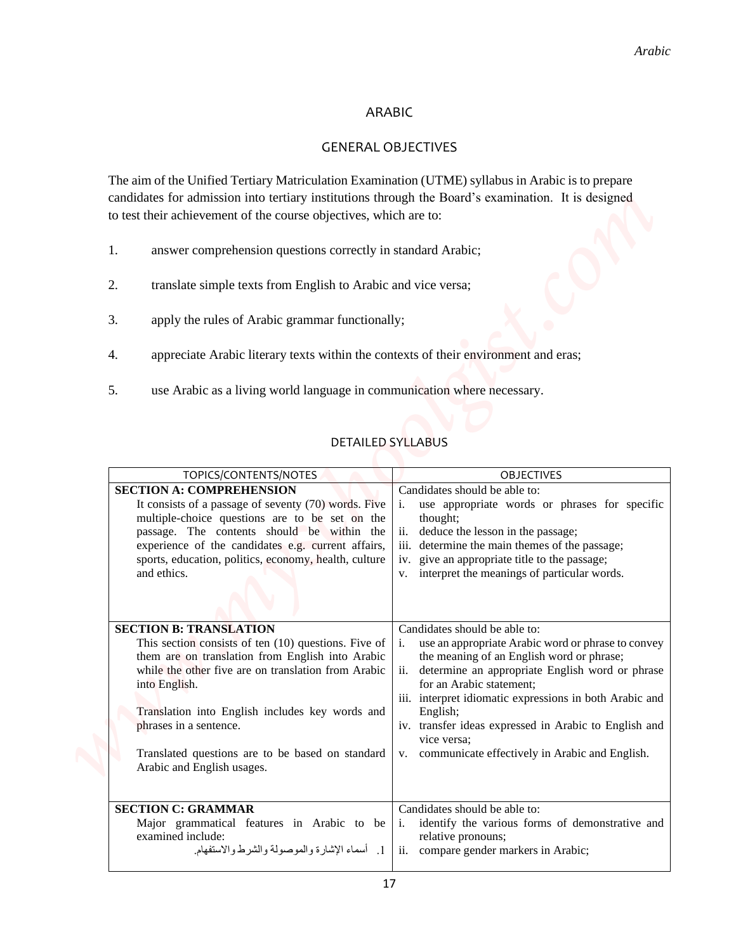# ARABIC

## GENERAL OBJECTIVES

- 1. answer comprehension questions correctly in standard Arabic;
- 2. translate simple texts from English to Arabic and vice versa;
- 3. apply the rules of Arabic grammar functionally;
- 4. appreciate Arabic literary texts within the contexts of their environment and eras;
- 5. use Arabic as a living world language in communication where necessary.

## DETAILED SYLLABUS

|                                                                                                                                                                                                                                                                                                                                                                                    | Arabic                                                                                                                                                                                                                                                                                                                                                                                                                     |
|------------------------------------------------------------------------------------------------------------------------------------------------------------------------------------------------------------------------------------------------------------------------------------------------------------------------------------------------------------------------------------|----------------------------------------------------------------------------------------------------------------------------------------------------------------------------------------------------------------------------------------------------------------------------------------------------------------------------------------------------------------------------------------------------------------------------|
| <b>ARABIC</b>                                                                                                                                                                                                                                                                                                                                                                      |                                                                                                                                                                                                                                                                                                                                                                                                                            |
| <b>GENERAL OBJECTIVES</b>                                                                                                                                                                                                                                                                                                                                                          |                                                                                                                                                                                                                                                                                                                                                                                                                            |
| The aim of the Unified Tertiary Matriculation Examination (UTME) syllabus in Arabic is to prepare<br>candidates for admission into tertiary institutions through the Board's examination. It is designed<br>to test their achievement of the course objectives, which are to:                                                                                                      |                                                                                                                                                                                                                                                                                                                                                                                                                            |
| answer comprehension questions correctly in standard Arabic;<br>1.                                                                                                                                                                                                                                                                                                                 |                                                                                                                                                                                                                                                                                                                                                                                                                            |
| 2.<br>translate simple texts from English to Arabic and vice versa;                                                                                                                                                                                                                                                                                                                |                                                                                                                                                                                                                                                                                                                                                                                                                            |
| 3.<br>apply the rules of Arabic grammar functionally;                                                                                                                                                                                                                                                                                                                              |                                                                                                                                                                                                                                                                                                                                                                                                                            |
| appreciate Arabic literary texts within the contexts of their environment and eras;<br>4.                                                                                                                                                                                                                                                                                          |                                                                                                                                                                                                                                                                                                                                                                                                                            |
| use Arabic as a living world language in communication where necessary.<br>5.                                                                                                                                                                                                                                                                                                      |                                                                                                                                                                                                                                                                                                                                                                                                                            |
| <b>DETAILED SYLLABUS</b><br>TOPICS/CONTENTS/NOTES                                                                                                                                                                                                                                                                                                                                  | <b>OBJECTIVES</b>                                                                                                                                                                                                                                                                                                                                                                                                          |
| <b>SECTION A: COMPREHENSION</b><br>It consists of a passage of seventy (70) words. Five<br>multiple-choice questions are to be set on the<br>passage. The contents should be within the<br>experience of the candidates e.g. current affairs,<br>sports, education, politics, economy, health, culture<br>and ethics.                                                              | Candidates should be able to:<br>use appropriate words or phrases for specific<br>thought:<br>deduce the lesson in the passage;<br>ii.<br>iii. determine the main themes of the passage;<br>iv. give an appropriate title to the passage;<br>v. interpret the meanings of particular words.                                                                                                                                |
| <b>SECTION B: TRANSLATION</b><br>This section consists of ten $(10)$ questions. Five of<br>them are on translation from English into Arabic<br>while the other five are on translation from Arabic<br>into English.<br>Translation into English includes key words and<br>phrases in a sentence.<br>Translated questions are to be based on standard<br>Arabic and English usages. | Candidates should be able to:<br>use an appropriate Arabic word or phrase to convey<br>the meaning of an English word or phrase;<br>determine an appropriate English word or phrase<br>ii.<br>for an Arabic statement;<br>iii. interpret idiomatic expressions in both Arabic and<br>English;<br>iv. transfer ideas expressed in Arabic to English and<br>vice versa;<br>v. communicate effectively in Arabic and English. |
| <b>SECTION C: GRAMMAR</b><br>Major grammatical features in Arabic to be<br>examined include:                                                                                                                                                                                                                                                                                       | Candidates should be able to:<br>identify the various forms of demonstrative and<br>$\mathbf{1}$ .<br>relative pronouns;                                                                                                                                                                                                                                                                                                   |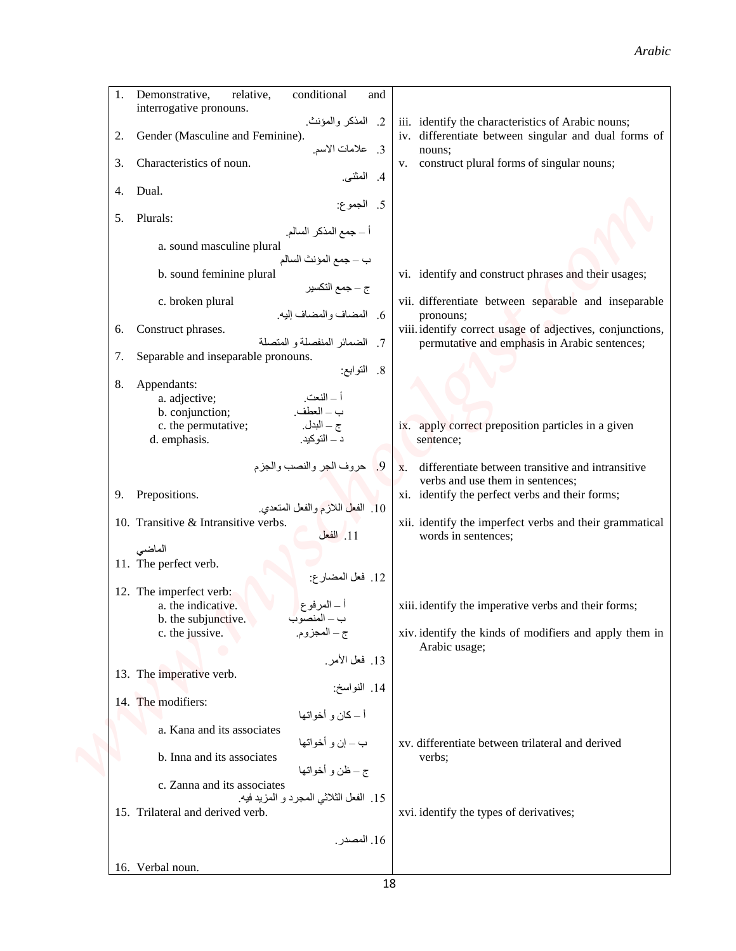#### *Arabic*

|                                                                                                                                                        |                                                                                                     | Arabic                                                                                                                                                                                 |
|--------------------------------------------------------------------------------------------------------------------------------------------------------|-----------------------------------------------------------------------------------------------------|----------------------------------------------------------------------------------------------------------------------------------------------------------------------------------------|
| Demonstrative,<br>relative,<br>1.<br>interrogative pronouns.<br>Gender (Masculine and Feminine).<br>2.                                                 | conditional<br>and<br>2. المذكر والمؤنث.                                                            | iii. identify the characteristics of Arabic nouns;<br>iv. differentiate between singular and dual forms of                                                                             |
| Characteristics of noun.<br>3.<br>Dual.<br>4.                                                                                                          | 3. علامات الاسم.<br>4. المثنى.<br>5. الجموع:                                                        | nouns;<br>v. construct plural forms of singular nouns;                                                                                                                                 |
| Plurals:<br>5.<br>a. sound masculine plural                                                                                                            | أ – جمع المذكر السالم.<br>ب – جمع المؤنث السالم                                                     |                                                                                                                                                                                        |
| b. sound feminine plural<br>c. broken plural                                                                                                           | ج – جمع التكسير<br>6. المضاف والمضاف إليه.                                                          | vi. identify and construct phrases and their usages;<br>vii. differentiate between separable and inseparable<br>pronouns;<br>viii. identify correct usage of adjectives, conjunctions, |
| Construct phrases.<br>6.<br>Separable and inseparable pronouns.<br>7.<br>8.<br>Appendants:<br>a. adjective;                                            | 7. الضمائر المنفصلة و المتصلة<br>8. التوابع:<br>أ _ النعت.                                          | permutative and emphasis in Arabic sentences;                                                                                                                                          |
| b. conjunction;<br>c. the permutative;<br>d. emphasis.                                                                                                 | ب _ العطف.<br>ج – البدل.<br>د _ التوكيد.<br>9. حروف الجر والنصب والجزم                              | ix. apply correct preposition particles in a given<br>sentence;<br>differentiate between transitive and intransitive<br>X.                                                             |
| Prepositions.<br>9.<br>10. Transitive & Intransitive verbs.                                                                                            | 10. الفعل اللازم والفعل المتعدي.<br>11. الفعل                                                       | verbs and use them in sentences;<br>xi. identify the perfect verbs and their forms;<br>xii. identify the imperfect verbs and their grammatical<br>words in sentences;                  |
| الماضي<br>11. The perfect verb.<br>12. The imperfect verb:<br>a. the indicative.<br>b. the subjunctive.<br>c. the jussive.<br>13. The imperative verb. | 12. فعل المضارع:<br>أ ــ المرفوع<br>ب ــ المنصوب<br>ج ــ المجزوم.<br>13. فعل الأمر.<br>14. النواسخ: | xiii. identify the imperative verbs and their forms;<br>xiv. identify the kinds of modifiers and apply them in<br>Arabic usage;                                                        |
| 14. The modifiers:<br>a. Kana and its associates<br>b. Inna and its associates<br>c. Zanna and its associates                                          | أ ــ كان و أخواتها<br>ب ـــ إن و أخواتها<br>ج – ظن و أخواتها                                        | xv. differentiate between trilateral and derived<br>verbs;                                                                                                                             |
| 15. Trilateral and derived verb.                                                                                                                       | 15. الفعل الثلاثي المجرد و المزيد فيه.                                                              | xvi. identify the types of derivatives;                                                                                                                                                |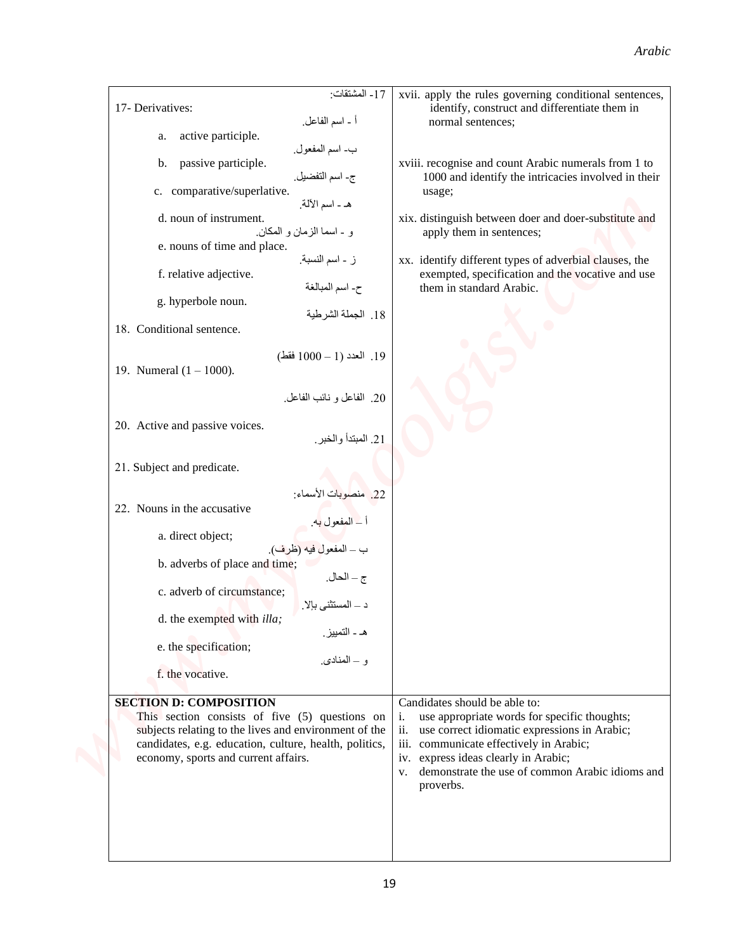|                                                                                                                                                                                                                                                                                                                                                                                                                                                                                                                                                                                                                                        | Arabic                                                                                                                                                                                                                                                                                                                                                                                            |
|----------------------------------------------------------------------------------------------------------------------------------------------------------------------------------------------------------------------------------------------------------------------------------------------------------------------------------------------------------------------------------------------------------------------------------------------------------------------------------------------------------------------------------------------------------------------------------------------------------------------------------------|---------------------------------------------------------------------------------------------------------------------------------------------------------------------------------------------------------------------------------------------------------------------------------------------------------------------------------------------------------------------------------------------------|
| 17- Derivatives:<br>أ - اسم الفاعل.                                                                                                                                                                                                                                                                                                                                                                                                                                                                                                                                                                                                    | 17- المشتقات:<br>xvii. apply the rules governing conditional sentences,<br>identify, construct and differentiate them in<br>normal sentences;                                                                                                                                                                                                                                                     |
| active participle.<br>a.<br>ب- اسم المفعول.<br>passive participle.<br>b.<br>ج- اسم التفضيل.<br>c. comparative/superlative.<br>هـ ـ اسم الآلة.<br>d. noun of instrument.<br>و - اسما الزمان و المكان.<br>e. nouns of time and place.<br>ز - اسم النسبة.<br>f. relative adjective.<br>ح- اسم المبالغة<br>g. hyperbole noun.<br>18. Conditional sentence.<br>19. العدد (1 - 1000 فقط)<br>19. Numeral $(1 - 1000)$ .<br>20. الفاعل و نائب الفاعل.<br>20. Active and passive voices.<br>21. Subject and predicate.<br>22. منصوبات الأسماء:<br>22. Nouns in the accusative<br>أ _ المفعول به.<br>ب _ المفعول فيه (ظرف).<br>a. direct object; | xviii. recognise and count Arabic numerals from 1 to<br>1000 and identify the intricacies involved in their<br>usage;<br>xix. distinguish between doer and doer-substitute and<br>apply them in sentences;<br>xx. identify different types of adverbial clauses, the<br>exempted, specification and the vocative and use<br>them in standard Arabic.<br>18. الجملة الشرطية<br>21. المبتدأ والخبر. |
| b. adverbs of place and time;<br>c. adverb of circumstance;<br>د ــ المستثنى بإلا.<br>d. the exempted with <i>illa</i> ;<br>e. the specification;<br>f. the vocative.<br><b>SECTION D: COMPOSITION</b><br>This section consists of five (5) questions on<br>subjects relating to the lives and environment of the<br>candidates, e.g. education, culture, health, politics,<br>economy, sports and current affairs.                                                                                                                                                                                                                    | ج – الحال.<br>هـ ـ التمييز ِ<br>و – المنادي.<br>Candidates should be able to:<br>use appropriate words for specific thoughts;<br>i.<br>use correct idiomatic expressions in Arabic;<br>ii.<br>iii. communicate effectively in Arabic;<br>iv. express ideas clearly in Arabic;<br>v. demonstrate the use of common Arabic idioms and                                                               |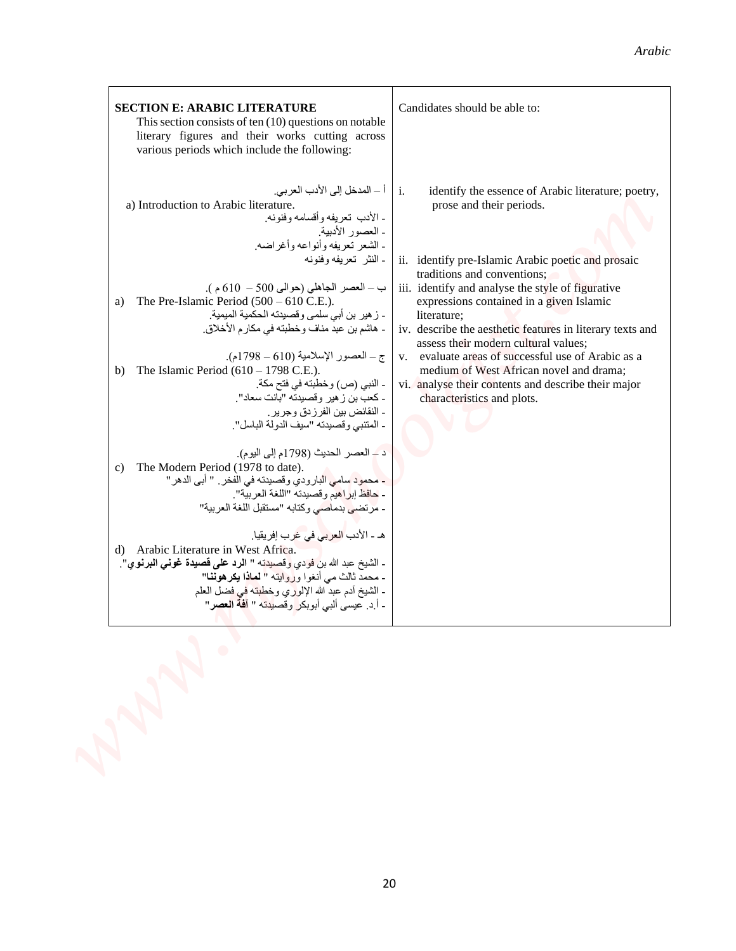| <b>SECTION E: ARABIC LITERATURE</b><br>This section consists of ten $(10)$ questions on notable<br>literary figures and their works cutting across<br>various periods which include the following:                                                                                                                                                                                                                                                                                                                                                                                                                                                                                                                                                                                                                                                                                                                                                                                                                                                                                                                                                                                                                                                              | Candidates should be able to:                                                                                                                                                                                                                                                                                                                                                                                                                                                                                                                                                                    |
|-----------------------------------------------------------------------------------------------------------------------------------------------------------------------------------------------------------------------------------------------------------------------------------------------------------------------------------------------------------------------------------------------------------------------------------------------------------------------------------------------------------------------------------------------------------------------------------------------------------------------------------------------------------------------------------------------------------------------------------------------------------------------------------------------------------------------------------------------------------------------------------------------------------------------------------------------------------------------------------------------------------------------------------------------------------------------------------------------------------------------------------------------------------------------------------------------------------------------------------------------------------------|--------------------------------------------------------------------------------------------------------------------------------------------------------------------------------------------------------------------------------------------------------------------------------------------------------------------------------------------------------------------------------------------------------------------------------------------------------------------------------------------------------------------------------------------------------------------------------------------------|
| أ ـــ المدخل إلى الأدب العربي.<br>a) Introduction to Arabic literature.<br>ـ الأدب تعريفه وأقسامه وفنونه.<br>ـ العصور الأدبية.<br>- الشعر نعريفه وأنواعه وأغر اضه<br>۔ النثر  تعریفه وفنونه<br>ب ــ العصر الجاهلي (حوالي 500 - 610 م).<br>The Pre-Islamic Period $(500 - 610 \text{ C.E.}).$<br>a)<br>- زهير بن أبي سلمي وقصيدته الحكمية الميمية.<br>- هاشم بن عبد مناف وخطبته في مكارم الأخلاق.<br>ج – العصور الإسلامية (610 – 1798م).<br>The Islamic Period $(610 - 1798 \text{ C.E.})$ .<br>b)<br>- النبي (ص) وخطبته في فتح مكة.<br>- كعب بن ز هير وقصيدته "بانت سعاد".<br>ـ النقائض بين الفرزدق وجرير .<br>- المنتبي وقصيدته "سيف الدولة الباسل".<br>د – العصر الحديث (1798م إلى اليوم).<br>The Modern Period (1978 to date).<br>c)<br>- محمود سامي البارودي وقصيدته في الفخر . " أبي الدهر "<br>- حافظ إبر أهيم و قصيدته "اللغة العر بية".<br>- مرتضى بدماصي وكتابه "مستقبل اللغة العربية"<br>هـ ـ الأدب <mark>العربي</mark> في غرب إفريقيا.<br>d) Arabic Literature in West Africa.<br>- الشيخ عبد الله بن فودي <mark>وقصيدته " الرد على قصيدة غونى البرنو ي</mark> ".<br>- محمد ثالث مي أنغوا وروايته " لماذا يكرهوننا"<br>ـ الشيخ آدم عبد الله الإلوري وخطبته في فضل العلم<br>- أ.د. عيسى ألبي أبوبك <mark>ر</mark> وقصي <mark>دته " آفة العصر</mark> " | $\mathbf{i}$ .<br>identify the essence of Arabic literature; poetry,<br>prose and their periods.<br>ii. identify pre-Islamic Arabic poetic and prosaic<br>traditions and conventions;<br>iii. identify and analyse the style of figurative<br>expressions contained in a given Islamic<br>literature;<br>iv. describe the aesthetic features in literary texts and<br>assess their modern cultural values;<br>v. evaluate areas of successful use of Arabic as a<br>medium of West African novel and drama;<br>vi. analyse their contents and describe their major<br>characteristics and plots. |